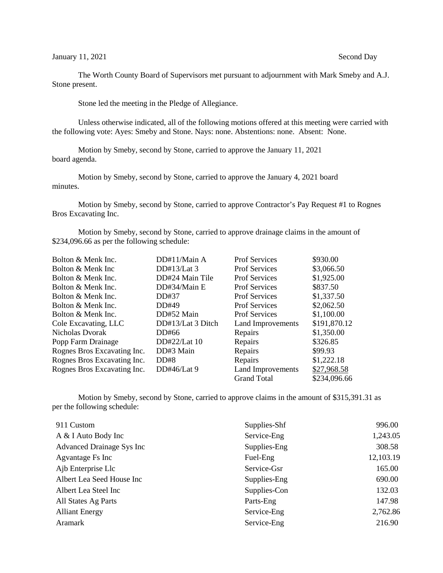The Worth County Board of Supervisors met pursuant to adjournment with Mark Smeby and A.J. Stone present.

Stone led the meeting in the Pledge of Allegiance.

Unless otherwise indicated, all of the following motions offered at this meeting were carried with the following vote: Ayes: Smeby and Stone. Nays: none. Abstentions: none. Absent: None.

Motion by Smeby, second by Stone, carried to approve the January 11, 2021 board agenda.

Motion by Smeby, second by Stone, carried to approve the January 4, 2021 board minutes.

Motion by Smeby, second by Stone, carried to approve Contractor's Pay Request #1 to Rognes Bros Excavating Inc.

Motion by Smeby, second by Stone, carried to approve drainage claims in the amount of \$234,096.66 as per the following schedule:

| Bolton & Menk Inc.          | DD#11/Main A      | <b>Prof Services</b> | \$930.00     |
|-----------------------------|-------------------|----------------------|--------------|
| Bolton & Menk Inc           | DD#13/Lat $3$     | <b>Prof Services</b> | \$3,066.50   |
| Bolton & Menk Inc.          | DD#24 Main Tile   | <b>Prof Services</b> | \$1,925.00   |
| Bolton & Menk Inc.          | DD#34/Main E      | <b>Prof Services</b> | \$837.50     |
| Bolton & Menk Inc.          | DD#37             | <b>Prof Services</b> | \$1,337.50   |
| Bolton & Menk Inc.          | DD#49             | <b>Prof Services</b> | \$2,062.50   |
| Bolton & Menk Inc.          | DD#52 Main        | <b>Prof Services</b> | \$1,100.00   |
| Cole Excavating, LLC        | DD#13/Lat 3 Ditch | Land Improvements    | \$191,870.12 |
| Nicholas Dvorak             | DD#66             | Repairs              | \$1,350.00   |
| Popp Farm Drainage          | DD#22/Lat 10      | Repairs              | \$326.85     |
| Rognes Bros Excavating Inc. | DD#3 Main         | Repairs              | \$99.93      |
| Rognes Bros Excavating Inc. | DD#8              | Repairs              | \$1,222.18   |
| Rognes Bros Excavating Inc. | DD#46/Lat $9$     | Land Improvements    | \$27,968.58  |
|                             |                   | <b>Grand Total</b>   | \$234,096.66 |

Motion by Smeby, second by Stone, carried to approve claims in the amount of \$315,391.31 as per the following schedule:

| Supplies-Shf | 996.00    |
|--------------|-----------|
| Service-Eng  | 1,243.05  |
| Supplies-Eng | 308.58    |
| Fuel-Eng     | 12,103.19 |
| Service-Gsr  | 165.00    |
| Supplies-Eng | 690.00    |
| Supplies-Con | 132.03    |
| Parts-Eng    | 147.98    |
| Service-Eng  | 2,762.86  |
| Service-Eng  | 216.90    |
|              |           |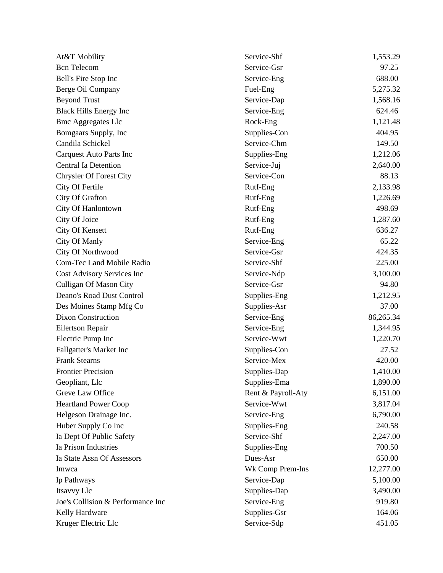| At&T Mobility                     | Service-Shf        | 1,553.29  |
|-----------------------------------|--------------------|-----------|
| <b>Bcn</b> Telecom                | Service-Gsr        | 97.25     |
| Bell's Fire Stop Inc              | Service-Eng        | 688.00    |
| Berge Oil Company                 | Fuel-Eng           | 5,275.32  |
| <b>Beyond Trust</b>               | Service-Dap        | 1,568.16  |
| <b>Black Hills Energy Inc</b>     | Service-Eng        | 624.46    |
| <b>Bmc Aggregates Llc</b>         | Rock-Eng           | 1,121.48  |
| Bomgaars Supply, Inc              | Supplies-Con       | 404.95    |
| Candila Schickel                  | Service-Chm        | 149.50    |
| <b>Carquest Auto Parts Inc</b>    | Supplies-Eng       | 1,212.06  |
| <b>Central Ia Detention</b>       | Service-Juj        | 2,640.00  |
| <b>Chrysler Of Forest City</b>    | Service-Con        | 88.13     |
| City Of Fertile                   | Rutf-Eng           | 2,133.98  |
| City Of Grafton                   | Rutf-Eng           | 1,226.69  |
| City Of Hanlontown                | Rutf-Eng           | 498.69    |
| City Of Joice                     | Rutf-Eng           | 1,287.60  |
| City Of Kensett                   | Rutf-Eng           | 636.27    |
| City Of Manly                     | Service-Eng        | 65.22     |
| City Of Northwood                 | Service-Gsr        | 424.35    |
| Com-Tec Land Mobile Radio         | Service-Shf        | 225.00    |
| Cost Advisory Services Inc        | Service-Ndp        | 3,100.00  |
| <b>Culligan Of Mason City</b>     | Service-Gsr        | 94.80     |
| Deano's Road Dust Control         | Supplies-Eng       | 1,212.95  |
| Des Moines Stamp Mfg Co           | Supplies-Asr       | 37.00     |
| <b>Dixon Construction</b>         | Service-Eng        | 86,265.34 |
| Eilertson Repair                  | Service-Eng        | 1,344.95  |
| Electric Pump Inc                 | Service-Wwt        | 1,220.70  |
| Fallgatter's Market Inc           | Supplies-Con       | 27.52     |
| <b>Frank Stearns</b>              | Service-Mex        | 420.00    |
| <b>Frontier Precision</b>         | Supplies-Dap       | 1,410.00  |
| Geopliant, Llc                    | Supplies-Ema       | 1,890.00  |
| Greve Law Office                  | Rent & Payroll-Aty | 6,151.00  |
| <b>Heartland Power Coop</b>       | Service-Wwt        | 3,817.04  |
| Helgeson Drainage Inc.            | Service-Eng        | 6,790.00  |
| Huber Supply Co Inc               | Supplies-Eng       | 240.58    |
| Ia Dept Of Public Safety          | Service-Shf        | 2,247.00  |
| Ia Prison Industries              | Supplies-Eng       | 700.50    |
| Ia State Assn Of Assessors        | Dues-Asr           | 650.00    |
| Imwca                             | Wk Comp Prem-Ins   | 12,277.00 |
| Ip Pathways                       | Service-Dap        | 5,100.00  |
| Itsavvy Llc                       | Supplies-Dap       | 3,490.00  |
| Joe's Collision & Performance Inc | Service-Eng        | 919.80    |
| Kelly Hardware                    | Supplies-Gsr       | 164.06    |
| Kruger Electric Llc               | Service-Sdp        | 451.05    |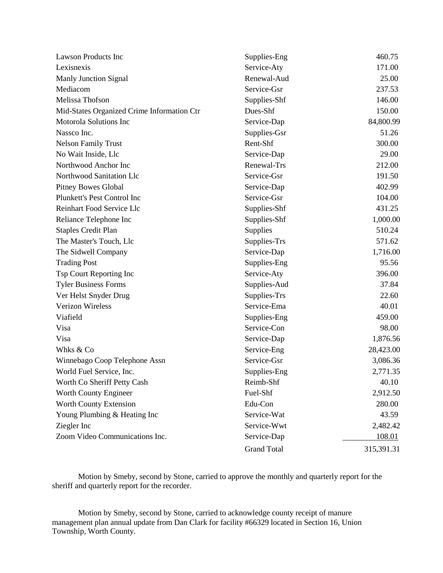| Lawson Products Inc                        | Supplies-Eng       | 460.75     |
|--------------------------------------------|--------------------|------------|
| Lexisnexis                                 | Service-Aty        | 171.00     |
| <b>Manly Junction Signal</b>               | Renewal-Aud        | 25.00      |
| Mediacom                                   | Service-Gsr        | 237.53     |
| Melissa Thofson                            | Supplies-Shf       | 146.00     |
| Mid-States Organized Crime Information Ctr | Dues-Shf           | 150.00     |
| Motorola Solutions Inc                     | Service-Dap        | 84,800.99  |
| Nassco Inc.                                | Supplies-Gsr       | 51.26      |
| <b>Nelson Family Trust</b>                 | Rent-Shf           | 300.00     |
| No Wait Inside, Llc                        | Service-Dap        | 29.00      |
| Northwood Anchor Inc                       | Renewal-Trs        | 212.00     |
| Northwood Sanitation Llc                   | Service-Gsr        | 191.50     |
| <b>Pitney Bowes Global</b>                 | Service-Dap        | 402.99     |
| Plunkett's Pest Control Inc                | Service-Gsr        | 104.00     |
| Reinhart Food Service Llc                  | Supplies-Shf       | 431.25     |
| Reliance Telephone Inc                     | Supplies-Shf       | 1,000.00   |
| <b>Staples Credit Plan</b>                 | Supplies           | 510.24     |
| The Master's Touch, Llc                    | Supplies-Trs       | 571.62     |
| The Sidwell Company                        | Service-Dap        | 1,716.00   |
| <b>Trading Post</b>                        | Supplies-Eng       | 95.56      |
| Tsp Court Reporting Inc                    | Service-Aty        | 396.00     |
| <b>Tyler Business Forms</b>                | Supplies-Aud       | 37.84      |
| Ver Helst Snyder Drug                      | Supplies-Trs       | 22.60      |
| Verizon Wireless                           | Service-Ema        | 40.01      |
| Viafield                                   | Supplies-Eng       | 459.00     |
| Visa                                       | Service-Con        | 98.00      |
| Visa                                       | Service-Dap        | 1,876.56   |
| Whks & Co                                  | Service-Eng        | 28,423.00  |
| Winnebago Coop Telephone Assn              | Service-Gsr        | 3,086.36   |
| World Fuel Service, Inc.                   | Supplies-Eng       | 2,771.35   |
| Worth Co Sheriff Petty Cash                | Reimb-Shf          | 40.10      |
| Worth County Engineer                      | Fuel-Shf           | 2,912.50   |
| Worth County Extension                     | Edu-Con            | 280.00     |
| Young Plumbing & Heating Inc               | Service-Wat        | 43.59      |
| Ziegler Inc                                | Service-Wwt        | 2,482.42   |
| Zoom Video Communications Inc.             | Service-Dap        | 108.01     |
|                                            | <b>Grand Total</b> | 315,391.31 |

Motion by Smeby, second by Stone, carried to approve the monthly and quarterly report for the sheriff and quarterly report for the recorder.

Motion by Smeby, second by Stone, carried to acknowledge county receipt of manure management plan annual update from Dan Clark for facility #66329 located in Section 16, Union Township, Worth County.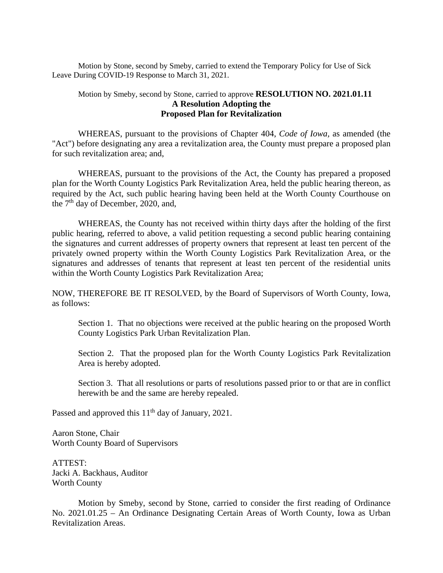Motion by Stone, second by Smeby, carried to extend the Temporary Policy for Use of Sick Leave During COVID-19 Response to March 31, 2021.

## Motion by Smeby, second by Stone, carried to approve **RESOLUTION NO. 2021.01.11 A Resolution Adopting the Proposed Plan for Revitalization**

WHEREAS, pursuant to the provisions of Chapter 404, *Code of Iowa,* as amended (the "Act") before designating any area a revitalization area, the County must prepare a proposed plan for such revitalization area; and,

WHEREAS, pursuant to the provisions of the Act, the County has prepared a proposed plan for the Worth County Logistics Park Revitalization Area, held the public hearing thereon, as required by the Act, such public hearing having been held at the Worth County Courthouse on the  $7<sup>th</sup>$  day of December, 2020, and,

WHEREAS, the County has not received within thirty days after the holding of the first public hearing, referred to above, a valid petition requesting a second public hearing containing the signatures and current addresses of property owners that represent at least ten percent of the privately owned property within the Worth County Logistics Park Revitalization Area, or the signatures and addresses of tenants that represent at least ten percent of the residential units within the Worth County Logistics Park Revitalization Area;

NOW, THEREFORE BE IT RESOLVED, by the Board of Supervisors of Worth County, Iowa, as follows:

Section 1. That no objections were received at the public hearing on the proposed Worth County Logistics Park Urban Revitalization Plan.

Section 2. That the proposed plan for the Worth County Logistics Park Revitalization Area is hereby adopted.

Section 3. That all resolutions or parts of resolutions passed prior to or that are in conflict herewith be and the same are hereby repealed.

Passed and approved this 11<sup>th</sup> day of January, 2021.

Aaron Stone, Chair Worth County Board of Supervisors

ATTEST: Jacki A. Backhaus, Auditor Worth County

Motion by Smeby, second by Stone, carried to consider the first reading of Ordinance No. 2021.01.25 – An Ordinance Designating Certain Areas of Worth County, Iowa as Urban Revitalization Areas.